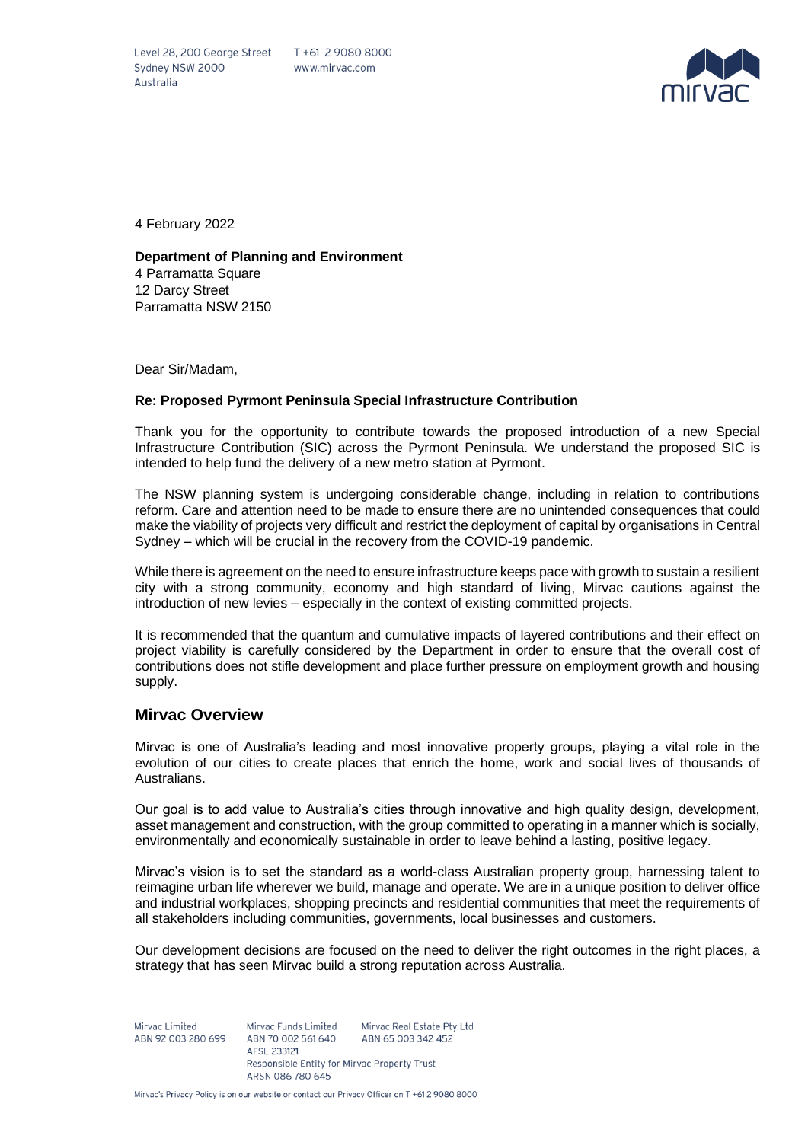Level 28, 200 George Street T +61 2 9080 8000 Sydney NSW 2000 Australia



4 February 2022

**Department of Planning and Environment**  4 Parramatta Square 12 Darcy Street Parramatta NSW 2150

Dear Sir/Madam,

### **Re: Proposed Pyrmont Peninsula Special Infrastructure Contribution**

Thank you for the opportunity to contribute towards the proposed introduction of a new Special Infrastructure Contribution (SIC) across the Pyrmont Peninsula. We understand the proposed SIC is intended to help fund the delivery of a new metro station at Pyrmont.

The NSW planning system is undergoing considerable change, including in relation to contributions reform. Care and attention need to be made to ensure there are no unintended consequences that could make the viability of projects very difficult and restrict the deployment of capital by organisations in Central Sydney – which will be crucial in the recovery from the COVID-19 pandemic.

While there is agreement on the need to ensure infrastructure keeps pace with growth to sustain a resilient city with a strong community, economy and high standard of living, Mirvac cautions against the introduction of new levies – especially in the context of existing committed projects.

It is recommended that the quantum and cumulative impacts of layered contributions and their effect on project viability is carefully considered by the Department in order to ensure that the overall cost of contributions does not stifle development and place further pressure on employment growth and housing supply.

### **Mirvac Overview**

Mirvac is one of Australia's leading and most innovative property groups, playing a vital role in the evolution of our cities to create places that enrich the home, work and social lives of thousands of Australians.

Our goal is to add value to Australia's cities through innovative and high quality design, development, asset management and construction, with the group committed to operating in a manner which is socially, environmentally and economically sustainable in order to leave behind a lasting, positive legacy.

Mirvac's vision is to set the standard as a world-class Australian property group, harnessing talent to reimagine urban life wherever we build, manage and operate. We are in a unique position to deliver office and industrial workplaces, shopping precincts and residential communities that meet the requirements of all stakeholders including communities, governments, local businesses and customers.

Our development decisions are focused on the need to deliver the right outcomes in the right places, a strategy that has seen Mirvac build a strong reputation across Australia.

Mirvac Limited Mirvac Funds Limited Mirvac Real Estate Pty Ltd ABN 92 003 280 699 ABN 70 002 561 640 ABN 65 003 342 452 AFSL 233121 Responsible Entity for Mirvac Property Trust ARSN 086 780 645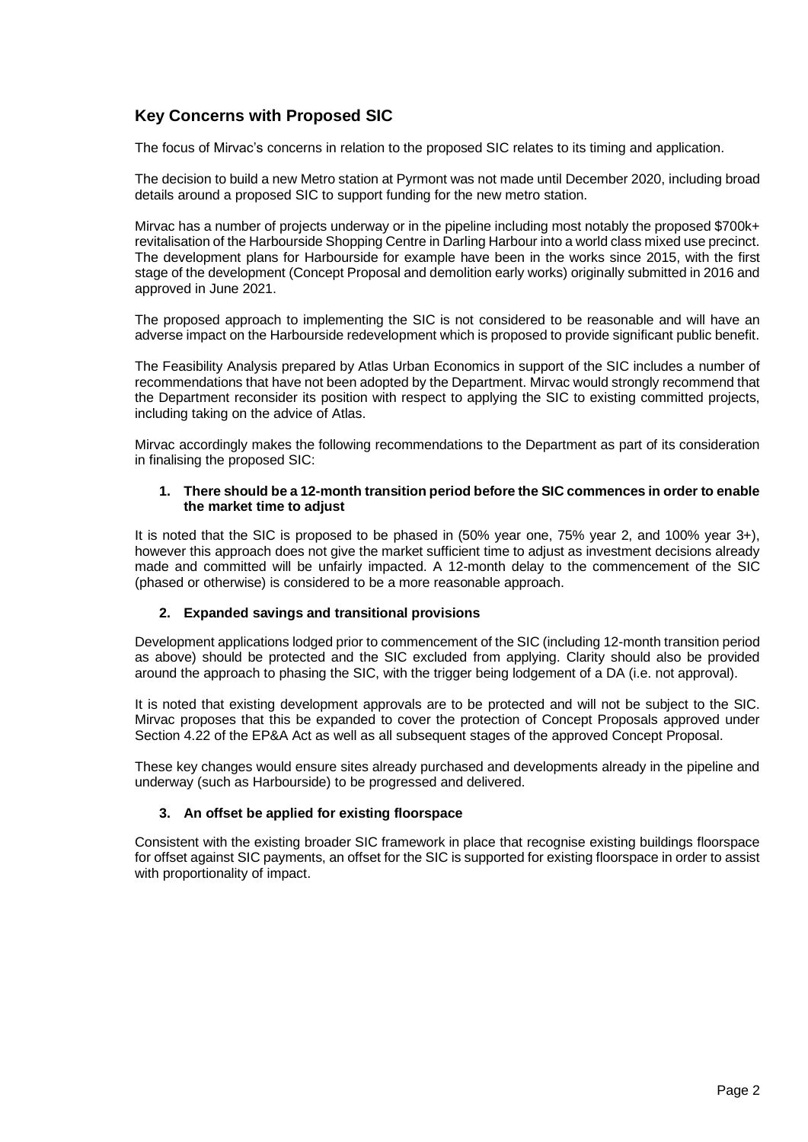# **Key Concerns with Proposed SIC**

The focus of Mirvac's concerns in relation to the proposed SIC relates to its timing and application.

The decision to build a new Metro station at Pyrmont was not made until December 2020, including broad details around a proposed SIC to support funding for the new metro station.

Mirvac has a number of projects underway or in the pipeline including most notably the proposed \$700k+ revitalisation of the Harbourside Shopping Centre in Darling Harbour into a world class mixed use precinct. The development plans for Harbourside for example have been in the works since 2015, with the first stage of the development (Concept Proposal and demolition early works) originally submitted in 2016 and approved in June 2021.

The proposed approach to implementing the SIC is not considered to be reasonable and will have an adverse impact on the Harbourside redevelopment which is proposed to provide significant public benefit.

The Feasibility Analysis prepared by Atlas Urban Economics in support of the SIC includes a number of recommendations that have not been adopted by the Department. Mirvac would strongly recommend that the Department reconsider its position with respect to applying the SIC to existing committed projects, including taking on the advice of Atlas.

Mirvac accordingly makes the following recommendations to the Department as part of its consideration in finalising the proposed SIC:

### **1. There should be a 12-month transition period before the SIC commences in order to enable the market time to adjust**

It is noted that the SIC is proposed to be phased in (50% year one, 75% year 2, and 100% year 3+), however this approach does not give the market sufficient time to adjust as investment decisions already made and committed will be unfairly impacted. A 12-month delay to the commencement of the SIC (phased or otherwise) is considered to be a more reasonable approach.

## **2. Expanded savings and transitional provisions**

Development applications lodged prior to commencement of the SIC (including 12-month transition period as above) should be protected and the SIC excluded from applying. Clarity should also be provided around the approach to phasing the SIC, with the trigger being lodgement of a DA (i.e. not approval).

It is noted that existing development approvals are to be protected and will not be subject to the SIC. Mirvac proposes that this be expanded to cover the protection of Concept Proposals approved under Section 4.22 of the EP&A Act as well as all subsequent stages of the approved Concept Proposal.

These key changes would ensure sites already purchased and developments already in the pipeline and underway (such as Harbourside) to be progressed and delivered.

## **3. An offset be applied for existing floorspace**

Consistent with the existing broader SIC framework in place that recognise existing buildings floorspace for offset against SIC payments, an offset for the SIC is supported for existing floorspace in order to assist with proportionality of impact.